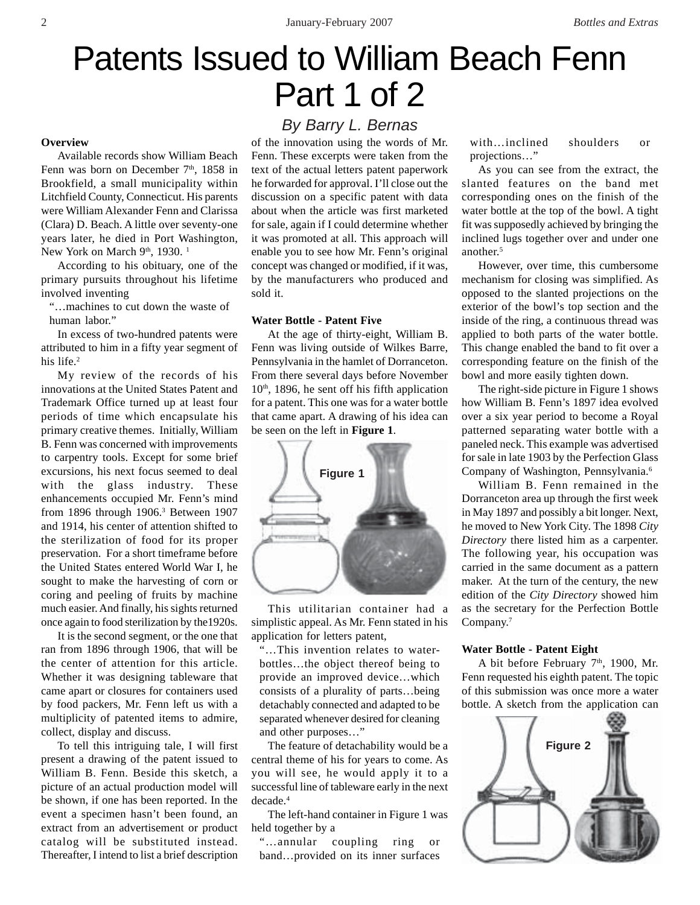# Patents Issued to William Beach Fenn Part 1 of 2

#### **Overview**

Available records show William Beach Fenn was born on December  $7<sup>th</sup>$ , 1858 in Brookfield, a small municipality within Litchfield County, Connecticut. His parents were William Alexander Fenn and Clarissa (Clara) D. Beach. A little over seventy-one years later, he died in Port Washington, New York on March 9<sup>th</sup>, 1930.<sup>1</sup>

According to his obituary, one of the primary pursuits throughout his lifetime involved inventing

"…machines to cut down the waste of human labor."

In excess of two-hundred patents were attributed to him in a fifty year segment of his life.<sup>2</sup>

My review of the records of his innovations at the United States Patent and Trademark Office turned up at least four periods of time which encapsulate his primary creative themes. Initially, William B. Fenn was concerned with improvements to carpentry tools. Except for some brief excursions, his next focus seemed to deal with the glass industry. These enhancements occupied Mr. Fenn's mind from 1896 through 1906.3 Between 1907 and 1914, his center of attention shifted to the sterilization of food for its proper preservation. For a short timeframe before the United States entered World War I, he sought to make the harvesting of corn or coring and peeling of fruits by machine much easier. And finally, his sights returned once again to food sterilization by the1920s.

It is the second segment, or the one that ran from 1896 through 1906, that will be the center of attention for this article. Whether it was designing tableware that came apart or closures for containers used by food packers, Mr. Fenn left us with a multiplicity of patented items to admire, collect, display and discuss.

To tell this intriguing tale, I will first present a drawing of the patent issued to William B. Fenn. Beside this sketch, a picture of an actual production model will be shown, if one has been reported. In the event a specimen hasn't been found, an extract from an advertisement or product catalog will be substituted instead. Thereafter, I intend to list a brief description

## *By Barry L. Bernas*

of the innovation using the words of Mr. Fenn. These excerpts were taken from the text of the actual letters patent paperwork he forwarded for approval. I'll close out the discussion on a specific patent with data about when the article was first marketed for sale, again if I could determine whether it was promoted at all. This approach will enable you to see how Mr. Fenn's original concept was changed or modified, if it was, by the manufacturers who produced and sold it.

#### **Water Bottle - Patent Five**

At the age of thirty-eight, William B. Fenn was living outside of Wilkes Barre, Pennsylvania in the hamlet of Dorranceton. From there several days before November  $10<sup>th</sup>$ , 1896, he sent off his fifth application for a patent. This one was for a water bottle that came apart. A drawing of his idea can be seen on the left in **Figure 1**.



This utilitarian container had a simplistic appeal. As Mr. Fenn stated in his application for letters patent,

"…This invention relates to waterbottles…the object thereof being to provide an improved device…which consists of a plurality of parts…being detachably connected and adapted to be separated whenever desired for cleaning and other purposes…"

The feature of detachability would be a central theme of his for years to come. As you will see, he would apply it to a successful line of tableware early in the next decade.4

The left-hand container in Figure 1 was held together by a

"…annular coupling ring or band…provided on its inner surfaces with…inclined shoulders or projections…"

As you can see from the extract, the slanted features on the band met corresponding ones on the finish of the water bottle at the top of the bowl. A tight fit was supposedly achieved by bringing the inclined lugs together over and under one another.5

However, over time, this cumbersome mechanism for closing was simplified. As opposed to the slanted projections on the exterior of the bowl's top section and the inside of the ring, a continuous thread was applied to both parts of the water bottle. This change enabled the band to fit over a corresponding feature on the finish of the bowl and more easily tighten down.

The right-side picture in Figure 1 shows how William B. Fenn's 1897 idea evolved over a six year period to become a Royal patterned separating water bottle with a paneled neck. This example was advertised for sale in late 1903 by the Perfection Glass Company of Washington, Pennsylvania.6

William B. Fenn remained in the Dorranceton area up through the first week in May 1897 and possibly a bit longer. Next, he moved to New York City. The 1898 *City Directory* there listed him as a carpenter. The following year, his occupation was carried in the same document as a pattern maker. At the turn of the century, the new edition of the *City Directory* showed him as the secretary for the Perfection Bottle Company.7

#### **Water Bottle - Patent Eight**

A bit before February 7<sup>th</sup>, 1900, Mr. Fenn requested his eighth patent. The topic of this submission was once more a water bottle. A sketch from the application can

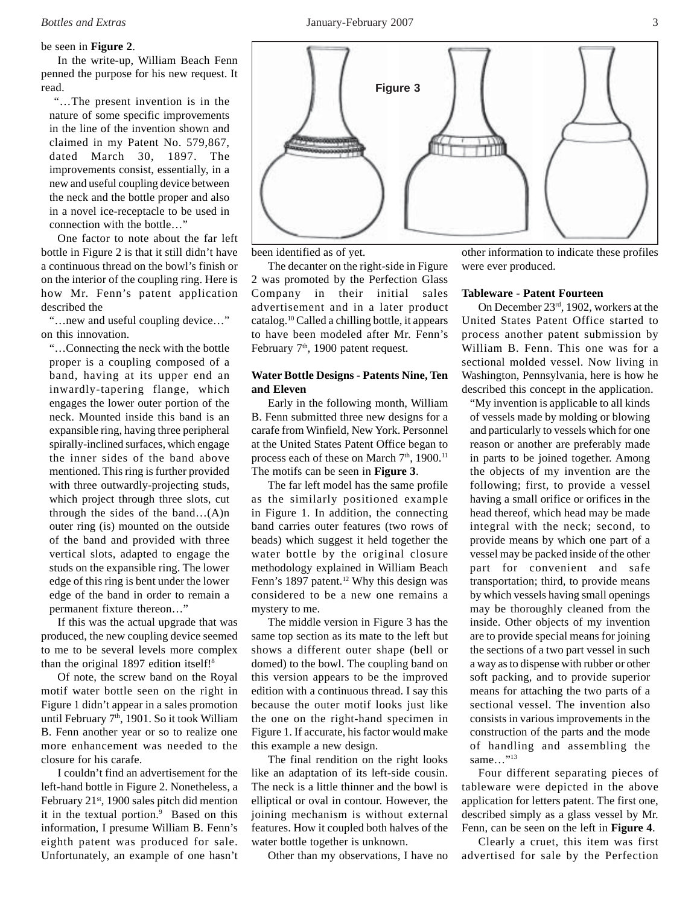#### be seen in **Figure 2**.

In the write-up, William Beach Fenn penned the purpose for his new request. It read.

 "…The present invention is in the nature of some specific improvements in the line of the invention shown and claimed in my Patent No. 579,867, dated March 30, 1897. The improvements consist, essentially, in a new and useful coupling device between the neck and the bottle proper and also in a novel ice-receptacle to be used in connection with the bottle…"

One factor to note about the far left bottle in Figure 2 is that it still didn't have a continuous thread on the bowl's finish or on the interior of the coupling ring. Here is how Mr. Fenn's patent application described the

"…new and useful coupling device…" on this innovation.

"…Connecting the neck with the bottle proper is a coupling composed of a band, having at its upper end an inwardly-tapering flange, which engages the lower outer portion of the neck. Mounted inside this band is an expansible ring, having three peripheral spirally-inclined surfaces, which engage the inner sides of the band above mentioned. This ring is further provided with three outwardly-projecting studs, which project through three slots, cut through the sides of the band…(A)n outer ring (is) mounted on the outside of the band and provided with three vertical slots, adapted to engage the studs on the expansible ring. The lower edge of this ring is bent under the lower edge of the band in order to remain a permanent fixture thereon…"

If this was the actual upgrade that was produced, the new coupling device seemed to me to be several levels more complex than the original 1897 edition itself!<sup>8</sup>

Of note, the screw band on the Royal motif water bottle seen on the right in Figure 1 didn't appear in a sales promotion until February  $7<sup>th</sup>$ , 1901. So it took William B. Fenn another year or so to realize one more enhancement was needed to the closure for his carafe.

I couldn't find an advertisement for the left-hand bottle in Figure 2. Nonetheless, a February 21st, 1900 sales pitch did mention it in the textual portion.<sup>9</sup> Based on this information, I presume William B. Fenn's eighth patent was produced for sale. Unfortunately, an example of one hasn't



been identified as of yet.

The decanter on the right-side in Figure 2 was promoted by the Perfection Glass Company in their initial sales advertisement and in a later product catalog.10 Called a chilling bottle, it appears to have been modeled after Mr. Fenn's February 7<sup>th</sup>, 1900 patent request.

### **Water Bottle Designs - Patents Nine, Ten and Eleven**

Early in the following month, William B. Fenn submitted three new designs for a carafe from Winfield, New York. Personnel at the United States Patent Office began to process each of these on March 7<sup>th</sup>, 1900.<sup>11</sup> The motifs can be seen in **Figure 3**.

The far left model has the same profile as the similarly positioned example in Figure 1. In addition, the connecting band carries outer features (two rows of beads) which suggest it held together the water bottle by the original closure methodology explained in William Beach Fenn's 1897 patent.<sup>12</sup> Why this design was considered to be a new one remains a mystery to me.

The middle version in Figure 3 has the same top section as its mate to the left but shows a different outer shape (bell or domed) to the bowl. The coupling band on this version appears to be the improved edition with a continuous thread. I say this because the outer motif looks just like the one on the right-hand specimen in Figure 1. If accurate, his factor would make this example a new design.

The final rendition on the right looks like an adaptation of its left-side cousin. The neck is a little thinner and the bowl is elliptical or oval in contour. However, the joining mechanism is without external features. How it coupled both halves of the water bottle together is unknown.

Other than my observations, I have no

other information to indicate these profiles were ever produced.

#### **Tableware - Patent Fourteen**

On December 23rd, 1902, workers at the United States Patent Office started to process another patent submission by William B. Fenn. This one was for a sectional molded vessel. Now living in Washington, Pennsylvania, here is how he described this concept in the application.

"My invention is applicable to all kinds of vessels made by molding or blowing and particularly to vessels which for one reason or another are preferably made in parts to be joined together. Among the objects of my invention are the following; first, to provide a vessel having a small orifice or orifices in the head thereof, which head may be made integral with the neck; second, to provide means by which one part of a vessel may be packed inside of the other part for convenient and safe transportation; third, to provide means by which vessels having small openings may be thoroughly cleaned from the inside. Other objects of my invention are to provide special means for joining the sections of a two part vessel in such a way as to dispense with rubber or other soft packing, and to provide superior means for attaching the two parts of a sectional vessel. The invention also consists in various improvements in the construction of the parts and the mode of handling and assembling the same..."<sup>13</sup>

Four different separating pieces of tableware were depicted in the above application for letters patent. The first one, described simply as a glass vessel by Mr. Fenn, can be seen on the left in **Figure 4**.

Clearly a cruet, this item was first advertised for sale by the Perfection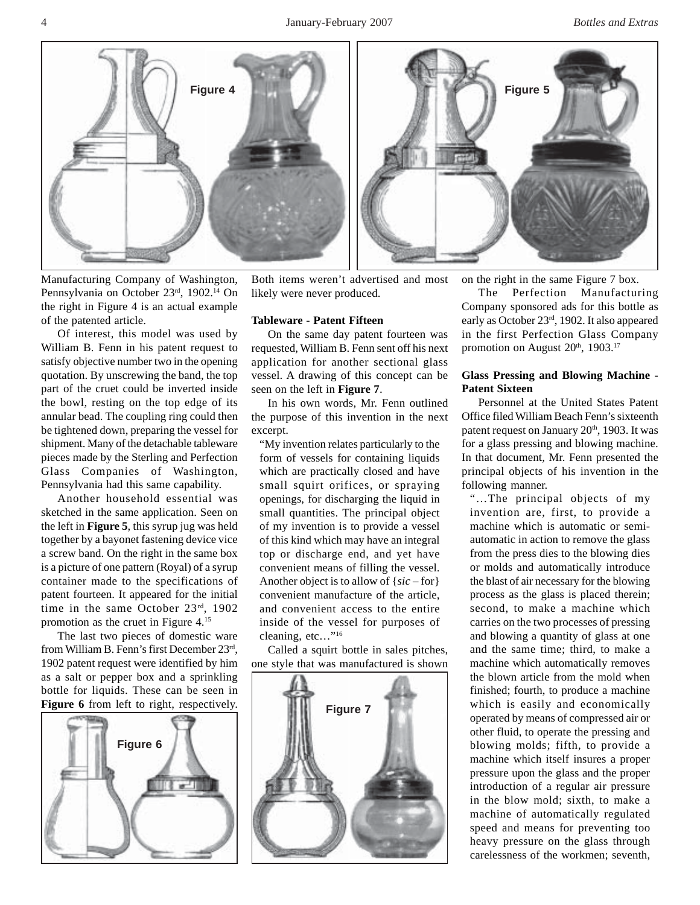4 January-February 2007 *Bottles and Extras*



Manufacturing Company of Washington, Pennsylvania on October 23rd, 1902.14 On the right in Figure 4 is an actual example of the patented article.

Of interest, this model was used by William B. Fenn in his patent request to satisfy objective number two in the opening quotation. By unscrewing the band, the top part of the cruet could be inverted inside the bowl, resting on the top edge of its annular bead. The coupling ring could then be tightened down, preparing the vessel for shipment. Many of the detachable tableware pieces made by the Sterling and Perfection Glass Companies of Washington, Pennsylvania had this same capability.

Another household essential was sketched in the same application. Seen on the left in **Figure 5**, this syrup jug was held together by a bayonet fastening device vice a screw band. On the right in the same box is a picture of one pattern (Royal) of a syrup container made to the specifications of patent fourteen. It appeared for the initial time in the same October 23rd, 1902 promotion as the cruet in Figure 4.15

The last two pieces of domestic ware from William B. Fenn's first December 23rd, 1902 patent request were identified by him as a salt or pepper box and a sprinkling bottle for liquids. These can be seen in Figure 6 from left to right, respectively.



Both items weren't advertised and most likely were never produced.

#### **Tableware - Patent Fifteen**

On the same day patent fourteen was requested, William B. Fenn sent off his next application for another sectional glass vessel. A drawing of this concept can be seen on the left in **Figure 7**.

In his own words, Mr. Fenn outlined the purpose of this invention in the next excerpt.

"My invention relates particularly to the form of vessels for containing liquids which are practically closed and have small squirt orifices, or spraying openings, for discharging the liquid in small quantities. The principal object of my invention is to provide a vessel of this kind which may have an integral top or discharge end, and yet have convenient means of filling the vessel. Another object is to allow of {*sic* – for} convenient manufacture of the article, and convenient access to the entire inside of the vessel for purposes of cleaning, etc..."<sup>16</sup>

Called a squirt bottle in sales pitches, one style that was manufactured is shown



on the right in the same Figure 7 box.

The Perfection Manufacturing Company sponsored ads for this bottle as early as October 23rd, 1902. It also appeared in the first Perfection Glass Company promotion on August 20<sup>th</sup>, 1903.<sup>17</sup>

#### **Glass Pressing and Blowing Machine - Patent Sixteen**

Personnel at the United States Patent Office filed William Beach Fenn's sixteenth patent request on January  $20<sup>th</sup>$ , 1903. It was for a glass pressing and blowing machine. In that document, Mr. Fenn presented the principal objects of his invention in the following manner.

"…The principal objects of my invention are, first, to provide a machine which is automatic or semiautomatic in action to remove the glass from the press dies to the blowing dies or molds and automatically introduce the blast of air necessary for the blowing process as the glass is placed therein; second, to make a machine which carries on the two processes of pressing and blowing a quantity of glass at one and the same time; third, to make a machine which automatically removes the blown article from the mold when finished; fourth, to produce a machine which is easily and economically operated by means of compressed air or other fluid, to operate the pressing and blowing molds; fifth, to provide a machine which itself insures a proper pressure upon the glass and the proper introduction of a regular air pressure in the blow mold; sixth, to make a machine of automatically regulated speed and means for preventing too heavy pressure on the glass through carelessness of the workmen; seventh,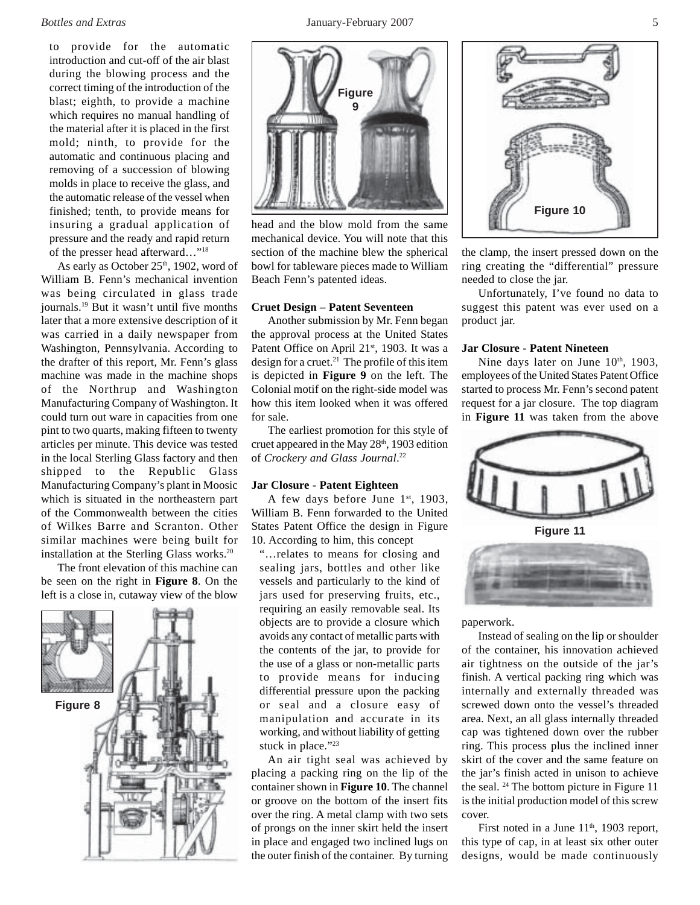to provide for the automatic introduction and cut-off of the air blast during the blowing process and the correct timing of the introduction of the blast; eighth, to provide a machine which requires no manual handling of the material after it is placed in the first mold; ninth, to provide for the automatic and continuous placing and removing of a succession of blowing molds in place to receive the glass, and the automatic release of the vessel when finished; tenth, to provide means for insuring a gradual application of pressure and the ready and rapid return of the presser head afterward…"18

As early as October 25<sup>th</sup>, 1902, word of William B. Fenn's mechanical invention was being circulated in glass trade journals.19 But it wasn't until five months later that a more extensive description of it was carried in a daily newspaper from Washington, Pennsylvania. According to the drafter of this report, Mr. Fenn's glass machine was made in the machine shops of the Northrup and Washington Manufacturing Company of Washington. It could turn out ware in capacities from one pint to two quarts, making fifteen to twenty articles per minute. This device was tested in the local Sterling Glass factory and then shipped to the Republic Glass Manufacturing Company's plant in Moosic which is situated in the northeastern part of the Commonwealth between the cities of Wilkes Barre and Scranton. Other similar machines were being built for installation at the Sterling Glass works.<sup>20</sup>

The front elevation of this machine can be seen on the right in **Figure 8**. On the left is a close in, cutaway view of the blow





head and the blow mold from the same mechanical device. You will note that this section of the machine blew the spherical bowl for tableware pieces made to William Beach Fenn's patented ideas.

#### **Cruet Design – Patent Seventeen**

Another submission by Mr. Fenn began the approval process at the United States Patent Office on April 21<sup>st</sup>, 1903. It was a design for a cruet.<sup>21</sup> The profile of this item is depicted in **Figure 9** on the left. The Colonial motif on the right-side model was how this item looked when it was offered for sale.

The earliest promotion for this style of cruet appeared in the May 28<sup>th</sup>, 1903 edition of *Crockery and Glass Journal*. 22

#### **Jar Closure - Patent Eighteen**

A few days before June  $1<sup>st</sup>$ , 1903, William B. Fenn forwarded to the United States Patent Office the design in Figure 10. According to him, this concept

"…relates to means for closing and sealing jars, bottles and other like vessels and particularly to the kind of jars used for preserving fruits, etc., requiring an easily removable seal. Its objects are to provide a closure which avoids any contact of metallic parts with the contents of the jar, to provide for the use of a glass or non-metallic parts to provide means for inducing differential pressure upon the packing or seal and a closure easy of manipulation and accurate in its working, and without liability of getting stuck in place."<sup>23</sup>

An air tight seal was achieved by placing a packing ring on the lip of the container shown in **Figure 10**. The channel or groove on the bottom of the insert fits over the ring. A metal clamp with two sets of prongs on the inner skirt held the insert in place and engaged two inclined lugs on the outer finish of the container. By turning



the clamp, the insert pressed down on the ring creating the "differential" pressure needed to close the jar.

Unfortunately, I've found no data to suggest this patent was ever used on a product jar.

#### **Jar Closure - Patent Nineteen**

Nine days later on June 10<sup>th</sup>, 1903, employees of the United States Patent Office started to process Mr. Fenn's second patent request for a jar closure. The top diagram in **Figure 11** was taken from the above



paperwork.

Instead of sealing on the lip or shoulder of the container, his innovation achieved air tightness on the outside of the jar's finish. A vertical packing ring which was internally and externally threaded was screwed down onto the vessel's threaded area. Next, an all glass internally threaded cap was tightened down over the rubber ring. This process plus the inclined inner skirt of the cover and the same feature on the jar's finish acted in unison to achieve the seal. 24 The bottom picture in Figure 11 is the initial production model of this screw cover.

First noted in a June  $11<sup>th</sup>$ , 1903 report, this type of cap, in at least six other outer designs, would be made continuously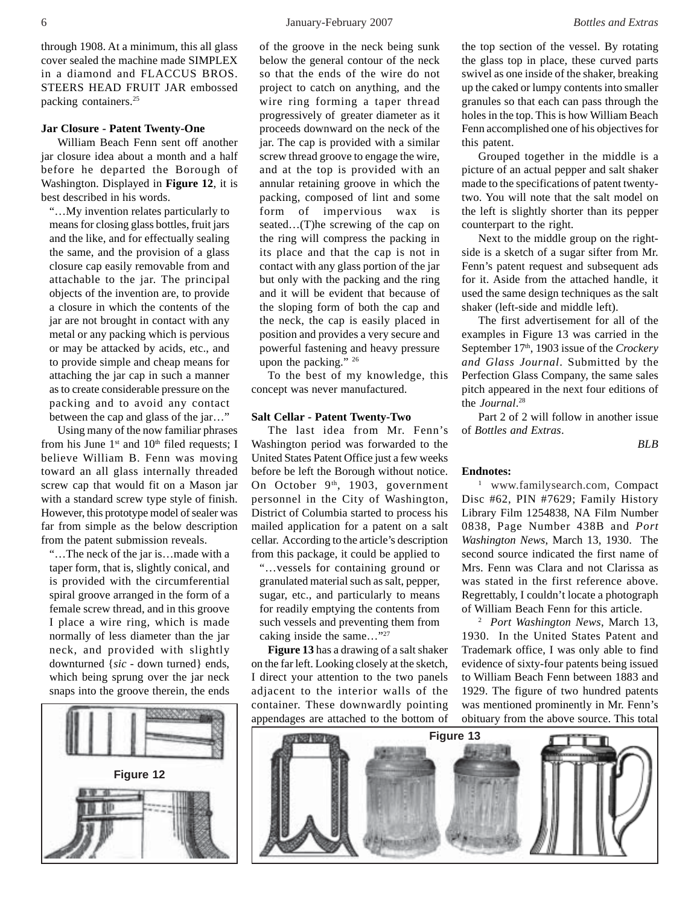through 1908. At a minimum, this all glass cover sealed the machine made SIMPLEX in a diamond and FLACCUS BROS. STEERS HEAD FRUIT JAR embossed packing containers.25

#### **Jar Closure - Patent Twenty-One**

William Beach Fenn sent off another jar closure idea about a month and a half before he departed the Borough of Washington. Displayed in **Figure 12**, it is best described in his words.

"…My invention relates particularly to means for closing glass bottles, fruit jars and the like, and for effectually sealing the same, and the provision of a glass closure cap easily removable from and attachable to the jar. The principal objects of the invention are, to provide a closure in which the contents of the jar are not brought in contact with any metal or any packing which is pervious or may be attacked by acids, etc., and to provide simple and cheap means for attaching the jar cap in such a manner as to create considerable pressure on the packing and to avoid any contact between the cap and glass of the jar…"

Using many of the now familiar phrases from his June  $1<sup>st</sup>$  and  $10<sup>th</sup>$  filed requests; I believe William B. Fenn was moving toward an all glass internally threaded screw cap that would fit on a Mason jar with a standard screw type style of finish. However, this prototype model of sealer was far from simple as the below description from the patent submission reveals.

"…The neck of the jar is…made with a taper form, that is, slightly conical, and is provided with the circumferential spiral groove arranged in the form of a female screw thread, and in this groove I place a wire ring, which is made normally of less diameter than the jar neck, and provided with slightly downturned {*sic* - down turned} ends, which being sprung over the jar neck snaps into the groove therein, the ends

**Figure 12**

of the groove in the neck being sunk below the general contour of the neck so that the ends of the wire do not project to catch on anything, and the wire ring forming a taper thread progressively of greater diameter as it proceeds downward on the neck of the jar. The cap is provided with a similar screw thread groove to engage the wire, and at the top is provided with an annular retaining groove in which the packing, composed of lint and some form of impervious wax is seated…(T)he screwing of the cap on the ring will compress the packing in its place and that the cap is not in contact with any glass portion of the jar but only with the packing and the ring and it will be evident that because of the sloping form of both the cap and the neck, the cap is easily placed in position and provides a very secure and powerful fastening and heavy pressure upon the packing." 26

To the best of my knowledge, this concept was never manufactured.

#### **Salt Cellar - Patent Twenty-Two**

The last idea from Mr. Fenn's Washington period was forwarded to the United States Patent Office just a few weeks before be left the Borough without notice. On October  $9<sup>th</sup>$ , 1903, government personnel in the City of Washington, District of Columbia started to process his mailed application for a patent on a salt cellar. According to the article's description from this package, it could be applied to

"…vessels for containing ground or granulated material such as salt, pepper, sugar, etc., and particularly to means for readily emptying the contents from such vessels and preventing them from caking inside the same…"27

**Figure 13** has a drawing of a salt shaker on the far left. Looking closely at the sketch, I direct your attention to the two panels adjacent to the interior walls of the container. These downwardly pointing appendages are attached to the bottom of

Grouped together in the middle is a picture of an actual pepper and salt shaker made to the specifications of patent twentytwo. You will note that the salt model on the left is slightly shorter than its pepper counterpart to the right.

Next to the middle group on the rightside is a sketch of a sugar sifter from Mr. Fenn's patent request and subsequent ads for it. Aside from the attached handle, it used the same design techniques as the salt shaker (left-side and middle left).

The first advertisement for all of the examples in Figure 13 was carried in the September 17<sup>th</sup>, 1903 issue of the *Crockery and Glass Journal*. Submitted by the Perfection Glass Company, the same sales pitch appeared in the next four editions of the *Journal*. 28

Part 2 of 2 will follow in another issue of *Bottles and Extras*.

*BLB*

#### **Endnotes:**

this patent.

1 www.familysearch.com, Compact Disc #62, PIN #7629; Family History Library Film 1254838, NA Film Number 0838, Page Number 438B and *Port Washington News*, March 13, 1930. The second source indicated the first name of Mrs. Fenn was Clara and not Clarissa as was stated in the first reference above. Regrettably, I couldn't locate a photograph of William Beach Fenn for this article.

2 *Port Washington News*, March 13, 1930. In the United States Patent and Trademark office, I was only able to find evidence of sixty-four patents being issued to William Beach Fenn between 1883 and 1929. The figure of two hundred patents was mentioned prominently in Mr. Fenn's obituary from the above source. This total

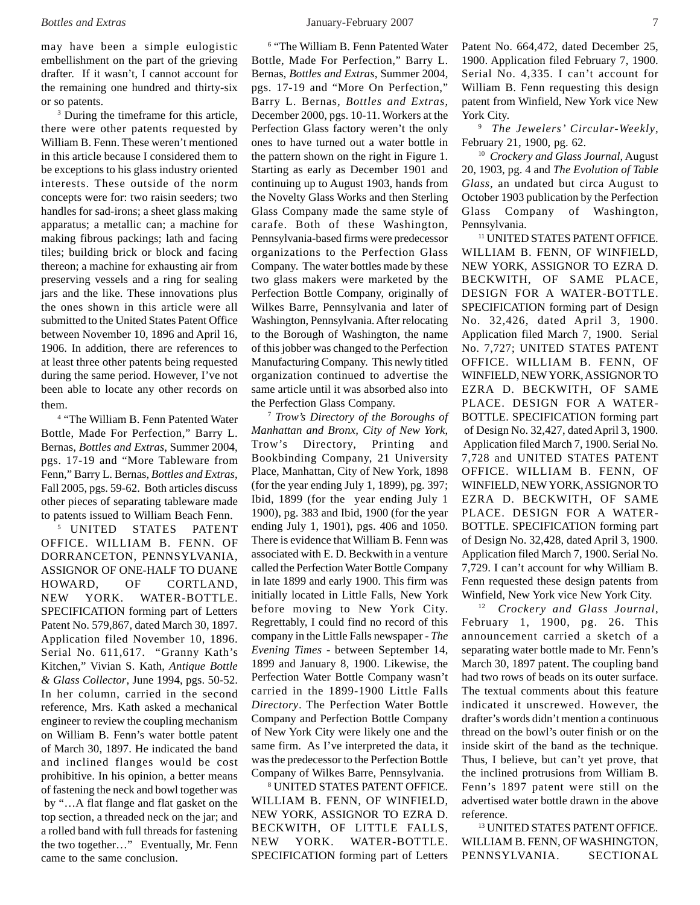may have been a simple eulogistic embellishment on the part of the grieving drafter. If it wasn't, I cannot account for the remaining one hundred and thirty-six or so patents.

<sup>3</sup> During the timeframe for this article, there were other patents requested by William B. Fenn. These weren't mentioned in this article because I considered them to be exceptions to his glass industry oriented interests. These outside of the norm concepts were for: two raisin seeders; two handles for sad-irons; a sheet glass making apparatus; a metallic can; a machine for making fibrous packings; lath and facing tiles; building brick or block and facing thereon; a machine for exhausting air from preserving vessels and a ring for sealing jars and the like. These innovations plus the ones shown in this article were all submitted to the United States Patent Office between November 10, 1896 and April 16, 1906. In addition, there are references to at least three other patents being requested during the same period. However, I've not been able to locate any other records on them.

4 "The William B. Fenn Patented Water Bottle, Made For Perfection," Barry L. Bernas, *Bottles and Extras*, Summer 2004, pgs. 17-19 and "More Tableware from Fenn," Barry L. Bernas, *Bottles and Extras*, Fall 2005, pgs. 59-62. Both articles discuss other pieces of separating tableware made to patents issued to William Beach Fenn.

5 UNITED STATES PATENT OFFICE. WILLIAM B. FENN. OF DORRANCETON, PENNSYLVANIA, ASSIGNOR OF ONE-HALF TO DUANE HOWARD, OF CORTLAND, NEW YORK. WATER-BOTTLE. SPECIFICATION forming part of Letters Patent No. 579,867, dated March 30, 1897. Application filed November 10, 1896. Serial No. 611,617. "Granny Kath's Kitchen," Vivian S. Kath, *Antique Bottle & Glass Collector*, June 1994, pgs. 50-52. In her column, carried in the second reference, Mrs. Kath asked a mechanical engineer to review the coupling mechanism on William B. Fenn's water bottle patent of March 30, 1897. He indicated the band and inclined flanges would be cost prohibitive. In his opinion, a better means of fastening the neck and bowl together was by "…A flat flange and flat gasket on the top section, a threaded neck on the jar; and a rolled band with full threads for fastening the two together…" Eventually, Mr. Fenn came to the same conclusion.

<sup>6</sup> "The William B. Fenn Patented Water Bottle, Made For Perfection," Barry L. Bernas, *Bottles and Extras*, Summer 2004, pgs. 17-19 and "More On Perfection," Barry L. Bernas*, Bottles and Extras*, December 2000, pgs. 10-11. Workers at the Perfection Glass factory weren't the only ones to have turned out a water bottle in the pattern shown on the right in Figure 1. Starting as early as December 1901 and continuing up to August 1903, hands from the Novelty Glass Works and then Sterling Glass Company made the same style of carafe. Both of these Washington, Pennsylvania-based firms were predecessor organizations to the Perfection Glass Company. The water bottles made by these two glass makers were marketed by the Perfection Bottle Company, originally of Wilkes Barre, Pennsylvania and later of Washington, Pennsylvania. After relocating to the Borough of Washington, the name of this jobber was changed to the Perfection Manufacturing Company. This newly titled organization continued to advertise the same article until it was absorbed also into the Perfection Glass Company.

<sup>7</sup> *Trow's Directory of the Boroughs of Manhattan and Bronx, City of New York*, Trow's Directory, Printing and Bookbinding Company, 21 University Place, Manhattan, City of New York, 1898 (for the year ending July 1, 1899), pg. 397; Ibid, 1899 (for the year ending July 1 1900), pg. 383 and Ibid, 1900 (for the year ending July 1, 1901), pgs. 406 and 1050. There is evidence that William B. Fenn was associated with E. D. Beckwith in a venture called the Perfection Water Bottle Company in late 1899 and early 1900. This firm was initially located in Little Falls, New York before moving to New York City. Regrettably, I could find no record of this company in the Little Falls newspaper - *The Evening Times* - between September 14, 1899 and January 8, 1900. Likewise, the Perfection Water Bottle Company wasn't carried in the 1899-1900 Little Falls *Directory*. The Perfection Water Bottle Company and Perfection Bottle Company of New York City were likely one and the same firm. As I've interpreted the data, it was the predecessor to the Perfection Bottle Company of Wilkes Barre, Pennsylvania.

8 UNITED STATES PATENT OFFICE. WILLIAM B. FENN, OF WINFIELD, NEW YORK, ASSIGNOR TO EZRA D. BECKWITH, OF LITTLE FALLS, NEW YORK. WATER-BOTTLE. SPECIFICATION forming part of Letters Patent No. 664,472, dated December 25, 1900. Application filed February 7, 1900. Serial No. 4,335. I can't account for William B. Fenn requesting this design patent from Winfield, New York vice New York City.

9 *The Jewelers' Circular-Weekly*, February 21, 1900, pg. 62.

10 *Crockery and Glass Journal*, August 20, 1903, pg. 4 and *The Evolution of Table Glass*, an undated but circa August to October 1903 publication by the Perfection Glass Company of Washington, Pennsylvania.

11 UNITED STATES PATENT OFFICE. WILLIAM B. FENN, OF WINFIELD, NEW YORK, ASSIGNOR TO EZRA D. BECKWITH, OF SAME PLACE, DESIGN FOR A WATER-BOTTLE. SPECIFICATION forming part of Design No. 32,426, dated April 3, 1900. Application filed March 7, 1900. Serial No. 7,727; UNITED STATES PATENT OFFICE. WILLIAM B. FENN, OF WINFIELD, NEW YORK, ASSIGNOR TO EZRA D. BECKWITH, OF SAME PLACE. DESIGN FOR A WATER-BOTTLE. SPECIFICATION forming part of Design No. 32,427, dated April 3, 1900. Application filed March 7, 1900. Serial No. 7,728 and UNITED STATES PATENT OFFICE. WILLIAM B. FENN, OF WINFIELD, NEW YORK, ASSIGNOR TO EZRA D. BECKWITH, OF SAME PLACE. DESIGN FOR A WATER-BOTTLE. SPECIFICATION forming part of Design No. 32,428, dated April 3, 1900. Application filed March 7, 1900. Serial No. 7,729. I can't account for why William B. Fenn requested these design patents from Winfield, New York vice New York City.

12 *Crockery and Glass Journal*, February 1, 1900, pg. 26. This announcement carried a sketch of a separating water bottle made to Mr. Fenn's March 30, 1897 patent. The coupling band had two rows of beads on its outer surface. The textual comments about this feature indicated it unscrewed. However, the drafter's words didn't mention a continuous thread on the bowl's outer finish or on the inside skirt of the band as the technique. Thus, I believe, but can't yet prove, that the inclined protrusions from William B. Fenn's 1897 patent were still on the advertised water bottle drawn in the above reference.

13 UNITED STATES PATENT OFFICE. WILLIAM B. FENN, OF WASHINGTON, PENNSYLVANIA. SECTIONAL